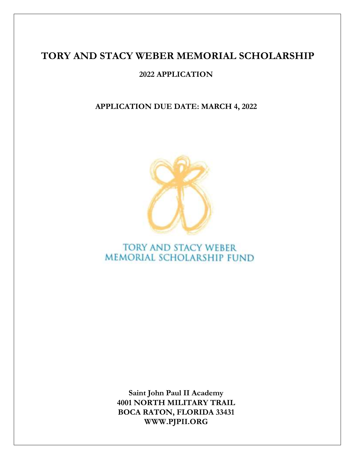## **TORY AND STACY WEBER MEMORIAL SCHOLARSHIP**

### **2022 APPLICATION**

**APPLICATION DUE DATE: MARCH 4, 2022**



**TORY AND STACY WEBER** MEMORIAL SCHOLARSHIP FUND

**Saint John Paul II Academy 4001 NORTH MILITARY TRAIL BOCA RATON, FLORIDA 33431 WWW.PJPII.ORG**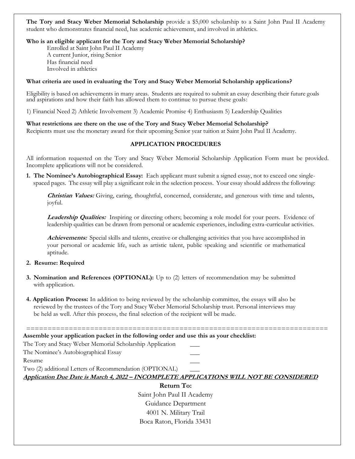**The Tory and Stacy Weber Memorial Scholarship** provide a \$5,000 scholarship to a Saint John Paul II Academy student who demonstrates financial need, has academic achievement, and involved in athletics.

**Who is an eligible applicant for the Tory and Stacy Weber Memorial Scholarship?**

Enrolled at Saint John Paul II Academy A current Junior, rising Senior Has financial need Involved in athletics

#### **What criteria are used in evaluating the Tory and Stacy Weber Memorial Scholarship applications?**

Eligibility is based on achievements in many areas. Students are required to submit an essay describing their future goals and aspirations and how their faith has allowed them to continue to pursue these goals:

1) Financial Need 2) Athletic Involvement 3) Academic Promise 4) Enthusiasm 5) Leadership Qualities

#### **What restrictions are there on the use of the Tory and Stacy Weber Memorial Scholarship?**

Recipients must use the monetary award for their upcoming Senior year tuition at Saint John Paul II Academy.

#### **APPLICATION PROCEDURES**

All information requested on the Tory and Stacy Weber Memorial Scholarship Application Form must be provided. Incomplete applications will not be considered.

**1. The Nominee's Autobiographical Essay:** Each applicant must submit a signed essay, not to exceed one singlespaced pages. The essay will play a significant role in the selection process. Your essay should address the following:

**Christian Values:** Giving, caring, thoughtful, concerned, considerate, and generous with time and talents, joyful.

**Leadership Qualities:** Inspiring or directing others; becoming a role model for your peers. Evidence of leadership qualities can be drawn from personal or academic experiences, including extra-curricular activities.

**Achievements:** Special skills and talents, creative or challenging activities that you have accomplished in your personal or academic life, such as artistic talent, public speaking and scientific or mathematical aptitude.

#### **2. Resume: Required**

- **3. Nomination and References (OPTIONAL):** Up to (2) letters of recommendation may be submitted with application.
- **4. Application Process:** In addition to being reviewed by the scholarship committee, the essays will also be reviewed by the trustees of the Tory and Stacy Weber Memorial Scholarship trust. Personal interviews may be held as well. After this process, the final selection of the recipient will be made.

| Assemble your application packet in the following order and use this as your checklist: |  |  |  |  |
|-----------------------------------------------------------------------------------------|--|--|--|--|
| The Tory and Stacy Weber Memorial Scholarship Application                               |  |  |  |  |
| The Nominee's Autobiographical Essay                                                    |  |  |  |  |
| Resume                                                                                  |  |  |  |  |
| Two (2) additional Letters of Recommendation (OPTIONAL)                                 |  |  |  |  |
| Application Due Date is March 4, 2022 – INCOMPLETE APPLICATIONS WILL NOT BE CONSIDERED  |  |  |  |  |
| <b>Return To:</b>                                                                       |  |  |  |  |
| Saint John Paul II Academy                                                              |  |  |  |  |
| Guidance Department                                                                     |  |  |  |  |
|                                                                                         |  |  |  |  |

4001 N. Military Trail Boca Raton, Florida 33431